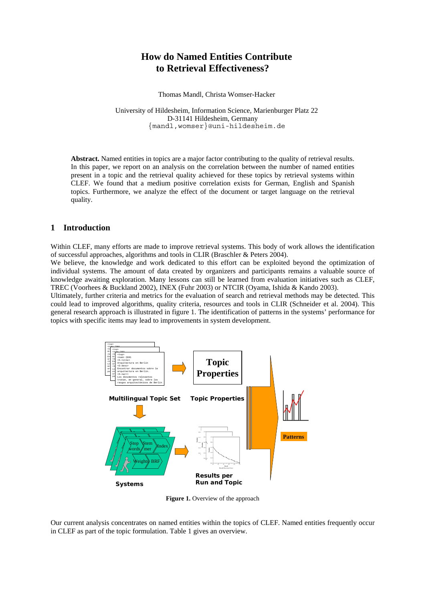# **How do Named Entities Contribute to Retrieval Effectiveness?**

Thomas Mandl, Christa Womser-Hacker

University of Hildesheim, Information Science, Marienburger Platz 22 D-31141 Hildesheim, Germany {mandl,womser}@uni-hildesheim.de

**Abstract.** Named entities in topics are a major factor contributing to the quality of retrieval results. In this paper, we report on an analysis on the correlation between the number of named entities present in a topic and the retrieval quality achieved for these topics by retrieval systems within CLEF. We found that a medium positive correlation exists for German, English and Spanish topics. Furthermore, we analyze the effect of the document or target language on the retrieval quality.

#### **1 Introduction**

Within CLEF, many efforts are made to improve retrieval systems. This body of work allows the identification of successful approaches, algorithms and tools in CLIR (Braschler & Peters 2004).

We believe, the knowledge and work dedicated to this effort can be exploited beyond the optimization of individual systems. The amount of data created by organizers and participants remains a valuable source of knowledge awaiting exploration. Many lessons can still be learned from evaluation initiatives such as CLEF, TREC (Voorhees & Buckland 2002), INEX (Fuhr 2003) or NTCIR (Oyama, Ishida & Kando 2003).

Ultimately, further criteria and metrics for the evaluation of search and retrieval methods may be detected. This could lead to improved algorithms, quality criteria, resources and tools in CLIR (Schneider et al. 2004). This general research approach is illustrated in figure 1. The identification of patterns in the systems' performance for topics with specific items may lead to improvements in system development.



Figure 1. Overview of the approach

Our current analysis concentrates on named entities within the topics of CLEF. Named entities frequently occur in CLEF as part of the topic formulation. Table 1 gives an overview.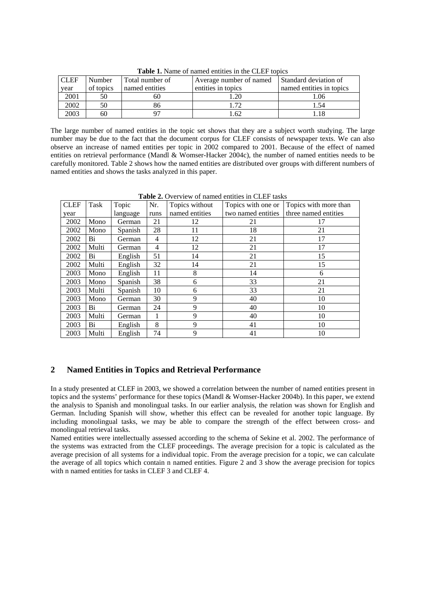| TWART TO THEIR OF HUILLOW CHELLED IN THE CLIPT TODIOD |           |                 |                         |                          |  |  |  |
|-------------------------------------------------------|-----------|-----------------|-------------------------|--------------------------|--|--|--|
| <b>CLEF</b>                                           | Number    | Total number of | Average number of named | Standard deviation of    |  |  |  |
| year                                                  | of topics | named entities  | entities in topics      | named entities in topics |  |  |  |
| 2001                                                  | 50        | n.              | .20                     | 1.06                     |  |  |  |
| 2002                                                  | 50        | გი              | 70                      |                          |  |  |  |
| 2003                                                  | 60        |                 | .62                     |                          |  |  |  |

**Table 1.** Name of named entities in the CLEF topics

The large number of named entities in the topic set shows that they are a subject worth studying. The large number may be due to the fact that the document corpus for CLEF consists of newspaper texts. We can also observe an increase of named entities per topic in 2002 compared to 2001. Because of the effect of named entities on retrieval performance (Mandl & Womser-Hacker 2004c), the number of named entities needs to be carefully monitored. Table 2 shows how the named entities are distributed over groups with different numbers of named entities and shows the tasks analyzed in this paper.

| <b>CLEF</b> | Task  | Topic    | Nr.  | Topics without | Topics with one or | Topics with more than |
|-------------|-------|----------|------|----------------|--------------------|-----------------------|
| year        |       | language | runs | named entities | two named entities | three named entities  |
| 2002        | Mono  | German   | 21   | 12             | 21                 | 17                    |
| 2002        | Mono  | Spanish  | 28   | 11             | 18                 | 21                    |
| 2002        | Bi    | German   | 4    | 12             | 21                 | 17                    |
| 2002        | Multi | German   | 4    | 12             | 21                 | 17                    |
| 2002        | Bi    | English  | 51   | 14             | 21                 | 15                    |
| 2002        | Multi | English  | 32   | 14             | 21                 | 15                    |
| 2003        | Mono  | English  | 11   | 8              | 14                 | 6                     |
| 2003        | Mono  | Spanish  | 38   | 6              | 33                 | 21                    |
| 2003        | Multi | Spanish  | 10   | 6              | 33                 | 21                    |
| 2003        | Mono  | German   | 30   | 9              | 40                 | 10                    |
| 2003        | Bi    | German   | 24   | 9              | 40                 | 10                    |
| 2003        | Multi | German   | 1    | 9              | 40                 | 10                    |
| 2003        | Bi    | English  | 8    | 9              | 41                 | 10                    |
| 2003        | Multi | English  | 74   | 9              | 41                 | 10                    |

Table 2. Overview of named entities in CLEF tasks

### **2 Named Entities in Topics and Retrieval Performance**

In a study presented at CLEF in 2003, we showed a correlation between the number of named entities present in topics and the systems' performance for these topics (Mandl & Womser-Hacker 2004b). In this paper, we extend the analysis to Spanish and monolingual tasks. In our earlier analysis, the relation was shown for English and German. Including Spanish will show, whether this effect can be revealed for another topic language. By including monolingual tasks, we may be able to compare the strength of the effect between cross- and monolingual retrieval tasks.

Named entities were intellectually assessed according to the schema of Sekine et al. 2002. The performance of the systems was extracted from the CLEF proceedings. The average precision for a topic is calculated as the average precision of all systems for a individual topic. From the average precision for a topic, we can calculate the average of all topics which contain n named entities. Figure 2 and 3 show the average precision for topics with n named entities for tasks in CLEF 3 and CLEF 4.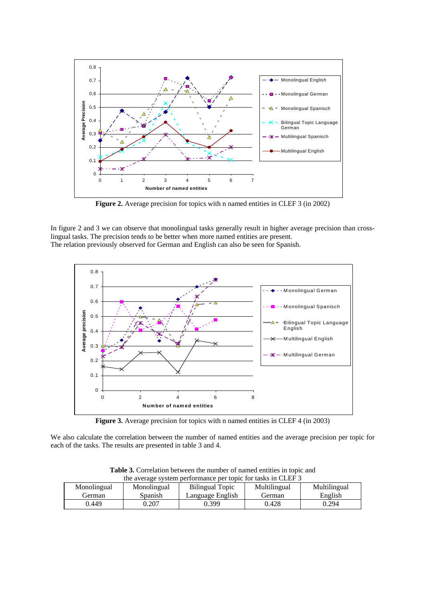

**Figure 2.** Average precision for topics with n named entities in CLEF 3 (in 2002)

In figure 2 and 3 we can observe that monolingual tasks generally result in higher average precision than crosslingual tasks. The precision tends to be better when more named entities are present. The relation previously observed for German and English can also be seen for Spanish.



**Figure 3.** Average precision for topics with n named entities in CLEF 4 (in 2003)

We also calculate the correlation between the number of named entities and the average precision per topic for each of the tasks. The results are presented in table 3 and 4.

| the average system performance per topic for tasks in CLEF 5 |             |                  |              |              |  |
|--------------------------------------------------------------|-------------|------------------|--------------|--------------|--|
| Monolingual                                                  | Monolingual | Bilingual Topic  | Multilingual | Multilingual |  |
| German                                                       | Spanish     | Language English | German       | English      |  |
| 0.449                                                        | 0.207       | 0.399            | 0.428        | 0.294        |  |

**Table 3.** Correlation between the number of named entities in topic and to average system per topic for tasks in  $\overline{C}$  Fig. 3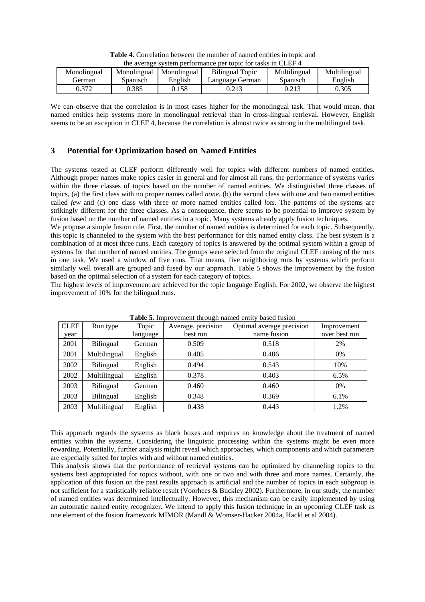| Monolingual | Monolingual | Monolingual | Bilingual Topic | Multilingual | Multilingual |
|-------------|-------------|-------------|-----------------|--------------|--------------|
| German      | Spanisch    | English     | Language German | Spanisch     | English      |
| 0.372       | 0.385       | 0.158       | 0.213           |              | 0.305        |

**Table 4.** Correlation between the number of named entities in topic and the average system performance per topic for tasks in CLEF 4

We can observe that the correlation is in most cases higher for the monolingual task. That would mean, that named entities help systems more in monolingual retrieval than in cross-lingual retrieval. However, English seems to be an exception in CLEF 4, because the correlation is almost twice as strong in the multilingual task.

## **3 Potential for Optimization based on Named Entities**

The systems tested at CLEF perform differently well for topics with different numbers of named entities. Although proper names make topics easier in general and for almost all runs, the performance of systems varies within the three classes of topics based on the number of named entities. We distinguished three classes of topics, (a) the first class with no proper names called *none*, (b) the second class with one and two named entities called *few* and (c) one class with three or more named entities called *lots*. The patterns of the systems are strikingly different for the three classes. As a consequence, there seems to be potential to improve system by fusion based on the number of named entities in a topic. Many systems already apply fusion techniques.

We propose a simple fusion rule. First, the number of named entities is determined for each topic. Subsequently, this topic is channeled to the system with the best performance for this named entity class. The best system is a combination of at most three runs. Each category of topics is answered by the optimal system within a group of systems for that number of named entities. The groups were selected from the original CLEF ranking of the runs in one task. We used a window of five runs. That means, five neighboring runs by systems which perform similarly well overall are grouped and fused by our approach. Table 5 shows the improvement by the fusion based on the optimal selection of a system for each category of topics.

The highest levels of improvement are achieved for the topic language English. For 2002, we observe the highest improvement of 10% for the bilingual runs.

| <b>CLEF</b> | Run type         | Topic    | Average. precision | Optimal average precision | Improvement   |
|-------------|------------------|----------|--------------------|---------------------------|---------------|
| year        |                  | language | best run           | name fusion               | over best run |
| 2001        | <b>Bilingual</b> | German   | 0.509              | 0.518                     | 2%            |
| 2001        | Multilingual     | English  | 0.405              | 0.406                     | 0%            |
| 2002        | Bilingual        | English  | 0.494              | 0.543                     | 10%           |
| 2002        | Multilingual     | English  | 0.378              | 0.403                     | 6.5%          |
| 2003        | Bilingual        | German   | 0.460              | 0.460                     | 0%            |
| 2003        | <b>Bilingual</b> | English  | 0.348              | 0.369                     | 6.1%          |
| 2003        | Multilingual     | English  | 0.438              | 0.443                     | 1.2%          |

**Table 5.** Improvement through named entity based fusion

This approach regards the systems as black boxes and requires no knowledge about the treatment of named entities within the systems. Considering the linguistic processing within the systems might be even more rewarding. Potentially, further analysis might reveal which approaches, which components and which parameters are especially suited for topics with and without named entities.

This analysis shows that the performance of retrieval systems can be optimized by channeling topics to the systems best appropriated for topics without, with one or two and with three and more names. Certainly, the application of this fusion on the past results approach is artificial and the number of topics in each subgroup is not sufficient for a statistically reliable result (Voorhees & Buckley 2002). Furthermore, in our study, the number of named entities was determined intellectually. However, this mechanism can be easily implemented by using an automatic named entity recognizer. We intend to apply this fusion technique in an upcoming CLEF task as one element of the fusion framework MIMOR (Mandl & Womser-Hacker 2004a, Hackl et al 2004).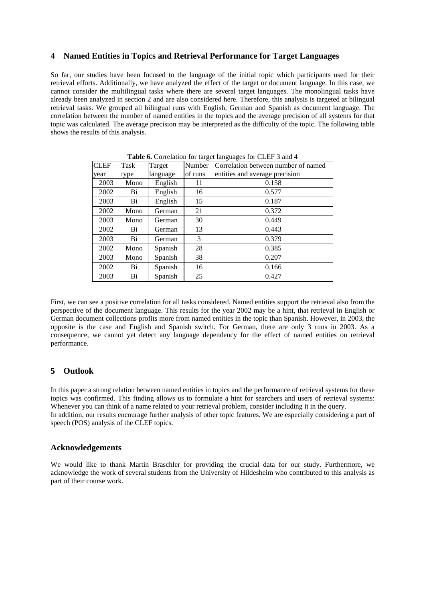## **4 Named Entities in Topics and Retrieval Performance for Target Languages**

So far, our studies have been focused to the language of the initial topic which participants used for their retrieval efforts. Additionally, we have analyzed the effect of the target or document language. In this case, we cannot consider the multilingual tasks where there are several target languages. The monolingual tasks have already been analyzed in section 2 and are also considered here. Therefore, this analysis is targeted at bilingual retrieval tasks. We grouped all bilingual runs with English, German and Spanish as document language. The correlation between the number of named entities in the topics and the average precision of all systems for that topic was calculated. The average precision may be interpreted as the difficulty of the topic. The following table shows the results of this analysis.

| <b>CLEF</b> | Task | Target   | Number  | Correlation between number of named |
|-------------|------|----------|---------|-------------------------------------|
| year        | type | language | of runs | entities and average precision      |
| 2003        | Mono | English  | 11      | 0.158                               |
| 2002        | Bi   | English  | 16      | 0.577                               |
| 2003        | Bi   | English  | 15      | 0.187                               |
| 2002        | Mono | German   | 21      | 0.372                               |
| 2003        | Mono | German   | 30      | 0.449                               |
| 2002        | Bi   | German   | 13      | 0.443                               |
| 2003        | Bi   | German   | 3       | 0.379                               |
| 2002        | Mono | Spanish  | 28      | 0.385                               |
| 2003        | Mono | Spanish  | 38      | 0.207                               |
| 2002        | Bi   | Spanish  | 16      | 0.166                               |
| 2003        | Bi   | Spanish  | 25      | 0.427                               |

**Table 6.** Correlation for target languages for CLEF 3 and 4

First, we can see a positive correlation for all tasks considered. Named entities support the retrieval also from the perspective of the document language. This results for the year 2002 may be a hint, that retrieval in English or German document collections profits more from named entities in the topic than Spanish. However, in 2003, the opposite is the case and English and Spanish switch. For German, there are only 3 runs in 2003. As a consequence, we cannot yet detect any language dependency for the effect of named entities on retrieval performance.

## **5 Outlook**

In this paper a strong relation between named entities in topics and the performance of retrieval systems for these topics was confirmed. This finding allows us to formulate a hint for searchers and users of retrieval systems: Whenever you can think of a name related to your retrieval problem, consider including it in the query. In addition, our results encourage further analysis of other topic features. We are especially considering a part of speech (POS) analysis of the CLEF topics.

### **Acknowledgements**

We would like to thank Martin Braschler for providing the crucial data for our study. Furthermore, we acknowledge the work of several students from the University of Hildesheim who contributed to this analysis as part of their course work.